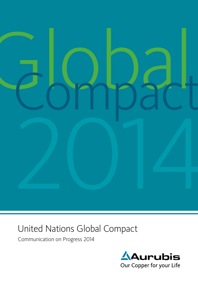

# United Nations Global Compact

Communication on Progress 2014

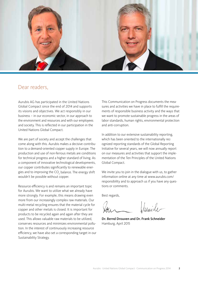

# Dear readers,

Aurubis AG has participated in the United Nations Global Compact since the end of 2014 and supports its visions and objectives. We act responsibly in our business – in our economic sector, in our approach to the environment and resources and with our employees and society. This is reflected in our participation in the United Nations Global Compact.

We are part of society and accept the challenges that come along with this. Aurubis makes a decisive contribution to a demand-oriented copper supply in Europe. The production and use of non-ferrous metals are conditions for technical progress and a higher standard of living. As a component of innovative technological developments, our copper contributes significantly to renewable energies and to improving the CO $_{\rm 2}$  balance. The energy shift wouldn't be possible without copper.

Resource efficiency is and remains an important topic for Aurubis. We want to utilize what we already have more strongly. For example, this means drawing even more from our increasingly complex raw materials. Our multi-metal recycling ensures that the material cycle for copper and other metals is closed. It is important for products to be recycled again and again after they are used. This allows valuable raw materials to be utilized, conserves resources and minimizes environmental pollution. In the interest of continuously increasing resource efficiency, we have also set a corresponding target in our Sustainability Strategy.

This Communication on Progress documents the measures and activities we have in place to fulfill the requirements of responsible business activity and the ways that we want to promote sustainable progress in the areas of labor standards, human rights, environmental protection and anti-corruption.

In addition to our extensive sustainability reporting, which has been oriented to the internationally recognized reporting standards of the Global Reporting Initiative for several years, we will now annually report on our measures and activities that support the implementation of the Ten Principles of the United Nations Global Compact.

We invite you to join in the dialogue with us, to gather information online at any time at www.aurubis.com/ responsibility and to approach us if you have any questions or comments.

Best regards,

lunidi

Dr. Bernd Drouven and Dr. Frank Schneider Hamburg, April 2015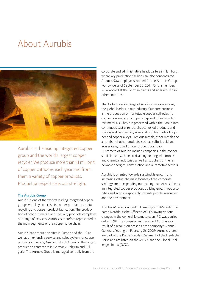# About Aurubis



Aurubis is the leading integrated copper group and the world's largest copper recycler. We produce more than 1.1 million t of copper cathodes each year and from them a variety of copper products. Production expertise is our strength.

### The Aurubis Group

Aurubis is one of the world's leading integrated copper groups with key expertise in copper production, metal recycling and copper product fabrication. The production of precious metals and specialty products completes our range of services. Aurubis is therefore represented in the main segments of the copper value chain.

Aurubis has production sites in Europe and the US as well as an extensive service and sales system for copper products in Europe, Asia and North America. The largest production centers are in Germany, Belgium and Bulgaria. The Aurubis Group is managed centrally from the

corporate and administrative headquarters in Hamburg, where key production facilities are also concentrated. About 6,500 employees worked for the Aurubis Group worldwide as of September 30, 2014. Of this number, 57 % worked at the German plants and 43 % worked in other countries.

Thanks to our wide range of services, we rank among the global leaders in our industry. Our core business is the production of marketable copper cathodes from copper concentrates, copper scrap and other recycling raw materials. They are processed within the Group into continuous cast wire rod, shapes, rolled products and strip as well as specialty wire and profiles made of copper and copper alloys. Precious metals, other metals and a number of other products, such as sulfuric acid and iron silicate, round off our product portfolio. Customers of Aurubis include companies in the copper semis industry, the electrical engineering, electronics and chemical industries as well as suppliers of the renewable energies, construction and automotive sectors.

Aurubis is oriented towards sustainable growth and increasing value: the main focuses of the corporate strategy are on expanding our leading market position as an integrated copper producer, utilizing growth opportunities and acting responsibly towards people, resources and the environment.

Aurubis AG was founded in Hamburg in 1866 under the name Norddeutsche Affinerie AG. Following various changes in the ownership structure, an IPO was carried out in 1998. The company was renamed Aurubis as a result of a resolution passed at the company's Annual General Meeting on February 26, 2009. Aurubis shares are part of the Prime Standard Segment of the Deutsche Börse and are listed on the MDAX and the Global Challenges Index (GCX).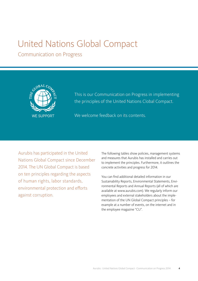# United Nations Global Compact

Communication on Progress



This is our Communication on Progress in implementing the principles of the United Nations Clobal Compact.

We welcome feedback on its contents.

Aurubis has participated in the United Nations Global Compact since December 2014. The UN Global Compact is based on ten principles regarding the aspects of human rights, labor standards, environmental protection and efforts against corruption.

The following tables show policies, management systems and measures that Aurubis has installed and carries out to implement the principles. Furthermore, it outlines the concrete activities and progress for 2014.

You can find additional detailed information in our Sustainability Reports, Environmental Statements, Environmental Reports and Annual Reports (all of which are available at www.aurubis.com). We regularly inform our employees and external stakeholders about the implementation of the UN Global Compact principles – for example at a number of events, on the internet and in the employee magazine "CU".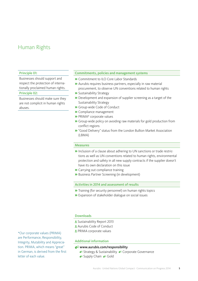# Human Rights

### Principle 01:

Businesses should support and respect the protection of internationally proclaimed human rights.

### Principle 02:

Businesses should make sure they are not complicit in human rights abuses.

### Commitments, policies and management systems

- » Commitment to ILO Core Labor Standards
- » Aurubis requires business partners, especially in raw material procurement, to observe UN conventions related to human rights
- » Sustainability Strategy
- » Development and expansion of supplier screening as a target of the Sustainability Strategy
- » Group-wide Code of Conduct
- » Compliance management
- » PRIMA\* corporate values
- » Group-wide policy on avoiding raw materials for gold production from conflict regions
- » "Good Delivery" status from the London Bullion Market Association (LBMA)

### Measures

- » Inclusion of a clause about adhering to UN sanctions or trade restrictions as well as UN conventions related to human rights, environmental protection and safety in all new supply contracts if the supplier doesn't have its own declaration on this issue
- » Carrying out compliance training
- » Business Partner Screening (in development)

### Activities in 2014 and assessment of results

- » Training (for security personnel) on human rights topics
- » Expansion of stakeholder dialogue on social issues

### **Downloads**

- Sustainability Report 2013
- Aurubis Code of Conduct
- **L** PRIMA corporate values

### Additional information

### www.aurubis.com/responsibility

- **Strategy & Sustainability ⊗ Corporate Governance**
- Supply Chain <sup>®</sup> Gold

\*Our corporate values (PRIMA) are Performance, Responsibility, Integrity, Mutability and Appreciation. PRIMA, which means "great" in German, is derived from the first letter of each value.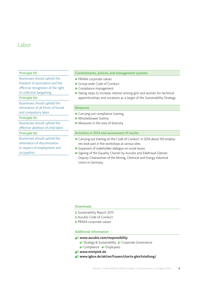# Labor

### Principle 03:

Businesses should uphold the freedom of association and the effective recognition of the right to collective bargaining.

### Principle 04:

Businesses should uphold the elimination of all forms of forced and compulsory labor.

### Principle 05:

Businesses should uphold the effective abolition of child labor.

### Principle 06:

Businesses should uphold the elimination of discrimination in respect of employment and occupation.

### Commitments, policies and management systems

- » PRIMA corporate values
- » Group-wide Code of Conduct
- » Compliance management
- » Taking steps to increase interest among girls and women for technical apprenticeships and vocations as a target of the Sustainability Strategy

### **Measures**

- » Carrying out compliance training
- » Whistleblower hotline
- » Measures in the area of diversity

### Activities in 2014 and assessment of results

- » Carrying out training on the Code of Conduct. In 2014 about 150 employees took part in five workshops at various sites.
- » Expansion of stakeholder dialogue on social issues
- » Signing of the Equality Charter by Aurubis and Edeltraud Glänzer, Deputy Chairwoman of the Mining, Chemical and Energy Industrial Union in Germany

### **Downloads**

- **L** Sustainability Report 2013
- Aurubis Code of Conduct
- **L** PRIMA corporate values

### Additional information

### www.aurubis.com/responsibility

- **Strategy & Sustainability S** Corporate Governance
- <sup>82</sup> Compliance <sup>82</sup> Employees
- **www.mintpink.de**
- www.igbce.de/aktive/frauen/charta-gleichstellung/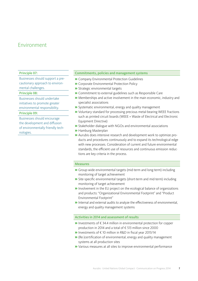# Environment

### Principle 07:

Businesses should support a precautionary approach to environmental challenges.

### Principle 08:

Businesses should undertake initiatives to promote greater environmental responsibility.

### Principle 09:

Businesses should encourage the development and diffusion of environmentally friendly technologies.

### Commitments, policies and management systems

- » Company Environmental Protection Guidelines
- » Corporate Environmental Protection Policy
- » Strategic environmental targets
- » Commitment to external guidelines such as Responsible Care
- » Memberships and active involvement in the main economic, industry and specialist associations
- » Systematic environmental, energy and quality management
- » Voluntary standard for processing precious metal-bearing WEEE fractions such as printed circuit boards (WEEE = Waste of Electrical and Electronic Equipment Directive)
- » Stakeholder dialogue with NGOs and environmental associations
- » Hamburg Masterplan
- » Aurubis does intensive research and development work to optimize products and procedures continuously and to expand its technological edge with new processes. Consideration of current and future environmental standards, the efficient use of resources and continuous emission reductions are key criteria in the process.

### Measures

- » Group-wide environmental targets (mid-term and long-term) including monitoring of target achievement
- » Site-specific environmental targets (short-term and mid-term) including monitoring of target achievement
- » Involvement in the EU project on the ecological balance of organizations and products: "Organizational Environmental Footprint" and "Product Environmental Footprint"
- » Internal and external audits to analyze the effectiveness of environmental, energy and quality management systems

### Activities in 2014 and assessment of results

- » Investments of € 34.4 million in environmental protection for copper production in 2014 and a total of € 513 million since 2000
- » Investments of € 10 million in R&D in fiscal year 2013/14
- » (Re-)certification of environmental, energy and quality management systems at all production sites
- » Various measures at all sites to improve environmental performance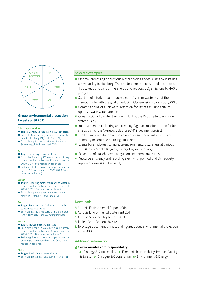

### **Group environmental protection targets until 2015**

### **Climate protection**

- **»** Target: Continued reduction in  $CO<sub>2</sub>$  emissions » Example: Constructing turbines to use waste heat in Hamburg (DE) and Lünen (DE)
- » Example: Optimizing suction equipment at Schwermetall Halbzeugwerk (DE)

### **Air**

- » Target: Reducing emissions to air
- $\bullet$  Examples: Reducing SO<sub>2</sub> emissions in primary copper production by over 80% compared to 2000 (2014: 87% reduction achieved)
- » Reducing dust emissions in copper production by over 90 % compared to 2000 (2013: 96% reduction achieved)

### **Water**

- » Target: Reducing metal emissions to water in copper production by about 70% compared to 2000 (2013: 76% reduction achieved)
- » Example: Operating new water treatment plants in Pirdop (BG) and Lünen (DE)

### **Soil**

- » Target: Reducing the discharge of harmful substances into the soil
- » Example: Paving large parts of the plant premises in Lünen (DE) and collecting rainwater

### **Waste**

- » Target: Increasing recycling rates
- **»** Examples: Reducing  $SO_2$  emissions in primary copper production by over 80% compared to 2000 (2014: 87% reduction achieved)
- » Reducing dust emissions in copper production by over 90% compared to 2000 (2013: 96% reduction achieved)

### **Noise**

- » Target: Reducing noise emissions
- » Example: Erecting a noise barrier in Olen (BE)

### Selected examples

- » Optimal processing of precious metal-bearing anode slimes by installing a new facility in Hamburg. The anode slimes are now dried in a process that saves up to 35% of the energy and reduces CO $_{\textrm{\tiny{2}}}$  emissions by 460 t per year.
- » Start-up of a turbine to produce electricity from waste heat at the Hamburg site with the goal of reducing CO<sub>2</sub> emissions by about 5,000 t
- » Commissioning of a rainwater retention facility at the Lünen site to optimize wastewater streams
- » Construction of a water treatment plant at the Pirdop site to enhance water quality
- » Improvement in collecting and cleaning fugitive emissions at the Pirdop site as part of the "Aurubis Bulgaria 2014" investment project
- » Further implementation of the voluntary agreement with the city of Hamburg to continue reducing emissions
- » Events for employees to increase environmental awareness at various sites (Green Month Bulgaria, Energy Day in Hamburg)
- » Expansion of stakeholder dialogue on environmental issues
- » Resource efficiency and recycling event with political and civil society representatives (October 2014)

### Downloads

- **Ł** Aurubis Environmental Report 2014
- Aurubis Environmental Statement 2014
- Aurubis Sustainability Report 2013
- $\pm$  Table of certifications by site
- **±** Two-page document of facts and figures about environmental protection since 2000

### Additional information

### www.aurubis.com/responsibility

- **Strategy & Sustainability Strategy & Sustainability** Strategy Assessment Cuality
- & Safety  $\bullet$  Dialogue & Cooperation  $\bullet$  Environment & Energy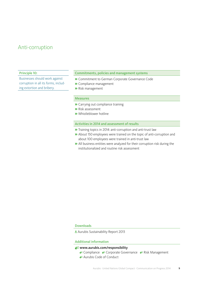# Anti-corruption

### Principle 10:

Businesses should work against corruption in all its forms, including extortion and bribery.

### Commitments, policies and management systems

- » Commitment to German Corporate Governance Code
- » Compliance management
- » Risk management

### Measures

- » Carrying out compliance training
- » Risk assessment
- » Whistleblower hotline

### Activities in 2014 and assessment of results

- » Training topics in 2014: anti-corruption and anti-trust law
- » About 150 employees were trained on the topic of anti-corruption and about 100 employees were trained in anti-trust law
- » All business entities were analyzed for their corruption risk during the institutionalized and routine risk assessment

### Downloads

Aurubis Sustainability Report 2013

### Additional information

### www.aurubis.com/responsibility

- **Compliance & Corporate Governance & Risk Management**
- <sup>2</sup> Aurubis Code of Conduct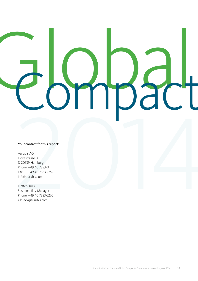# Nour contact for this report:<br>
Aurubis AG<br>
Hovestrasse 50<br>
D-20539 Hamburg<br>
Fax - 449 40 7883-0<br>
Fax - 449 40 7883-2255<br>
Info@aurubis.com<br>
Kirsten Kück<br>
Sustainability Manager<br>
Sustainability Manager<br>
Sustainability Manage Global Compact

### Your contact for this report:

Aurubis AG Hovestrasse 50 D-20539 Hamburg Phone +49 40 7883-0 Fax +49 40 7883-2255 info@aurubis.com

Kirsten Kück Sustainability Manager Phone +49 40 7883-3270 k.kueck@aurubis.com